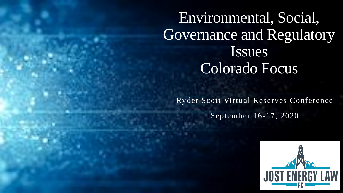Environmental, Social, Governance and Regulatory Issues Colorado Focus

Ryder Scott Virtual Reserves Conference September 16-17, 2020

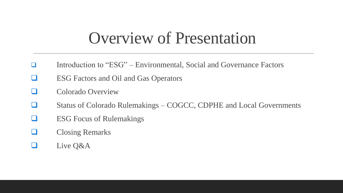### Overview of Presentation

- ❑ Introduction to "ESG" Environmental, Social and Governance Factors
- ❑ ESG Factors and Oil and Gas Operators
- ❑ Colorado Overview
- ❑ Status of Colorado Rulemakings COGCC, CDPHE and Local Governments
- ❑ ESG Focus of Rulemakings
- ❑ Closing Remarks
- Live Q&A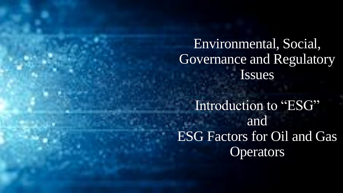Environmental, Social, Governance and Regulatory Issues

Introduction to "ESG" and ESG Factors for Oil and Gas **Operators**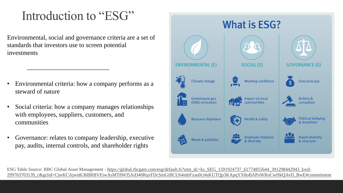### Introduction to "ESG"

Environmental, social and governance criteria are a set of standards that investors use to screen potential investments

- Environmental criteria: how a company performs as a steward of nature
- Social criteria: how a company manages relationships with employees, suppliers, customers, and communities
- Governance: relates to company leadership, executive pay, audits, internal controls, and shareholder rights



ESG Table Source: RBC Global Asset Management - https://global.rbcgam.com/esg/default.fs?utm\_dc=ks\_SEG\_1591924737\_61774855644\_391298442943\_kwd-[299763703139\\_c&gclid=CjwKCAjwnK36BRBVEiwAsMT8WJ5AiD40RqvFDcSmGiBCU64mbFxau0ci4sKUTQp3KApqYX8oBAPoWRoCwHkQAvD\\_BwE#commitment](https://global.rbcgam.com/esg/default.fs?utm_dc=ks_SEG_1591924737_61774855644_391298442943_kwd-299763703139_c&gclid=CjwKCAjwnK36BRBVEiwAsMT8WJ5AiD40RqvFDcSmGiBCU64mbFxau0ci4sKUTQp3KApqYX8oBAPoWRoCwHkQAvD_BwE#commitment)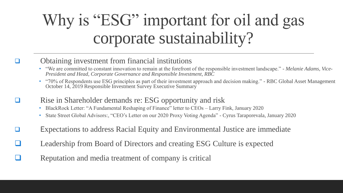# Why is "ESG" important for oil and gas corporate sustainability?

### ❑ Obtaining investment from financial institutions

- "We are committed to constant innovation to remain at the forefront of the responsible investment landscape." *Melanie Adams, Vice-President and Head, Corporate Governance and Responsible Investment, RBC*
- "70% of Respondents use ESG principles as part of their investment approach and decision making." RBC Global Asset Management October 14, 2019 Responsible Investment Survey Executive Summary
- ❑ Rise in Shareholder demands re: ESG opportunity and risk
	- BlackRock Letter: "A Fundamental Reshaping of Finance" letter to CEOs Larry Fink, January 2020
	- State Street Global Advisors:, "CEO's Letter on our 2020 Proxy Voting Agenda" Cyrus Taraporevala, January 2020
- ❑ Expectations to address Racial Equity and Environmental Justice are immediate
- Leadership from Board of Directors and creating ESG Culture is expected
- Reputation and media treatment of company is critical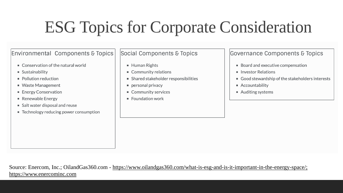# ESG Topics for Corporate Consideration

#### **Environmental Components & Topics**

- $\blacksquare$  Conservation of the natural world
- Sustainability
- $\blacksquare$  Pollution reduction
- Waste Management
- Energy Conservation
- Renewable Energy
- Salt water disposal and reuse
- Technology reducing power consumption

#### Social Components & Topics

- Human Rights
- Community relations
- Shared stakeholder responsibilities
- personal privacy
- Community services
- **Foundation work**

**Governance Components & Topics** 

- Board and executive compensation
- Investor Relations
- Good stewardship of the stakeholders interests
- Accountability
- Auditing systems

Source: Enercom, Inc.; OilandGas360.com - [https://www.oilandgas360.com/what-is-esg-and-is-it-important-in-the-energy-space/;](https://www.oilandgas360.com/what-is-esg-and-is-it-important-in-the-energy-space/)  [https://www.enercominc.com](https://www.enercominc.com/)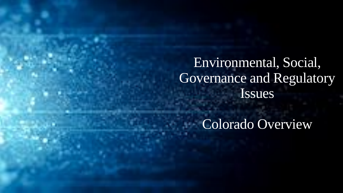Environmental, Social, Governance and Regulatory Issues

Colorado Overview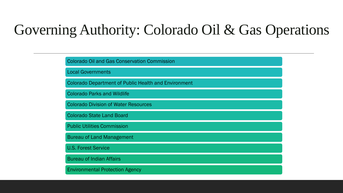### Governing Authority: Colorado Oil & Gas Operations

| <b>Colorado Oil and Gas Conservation Commission</b>         |
|-------------------------------------------------------------|
| <b>Local Governments</b>                                    |
| <b>Colorado Department of Public Health and Environment</b> |
| <b>Colorado Parks and Wildlife</b>                          |
| <b>Colorado Division of Water Resources</b>                 |
| <b>Colorado State Land Board</b>                            |
| <b>Public Utilities Commission</b>                          |
| <b>Bureau of Land Management</b>                            |
| <b>U.S. Forest Service</b>                                  |
| <b>Bureau of Indian Affairs</b>                             |
| <b>Environmental Protection Agency</b>                      |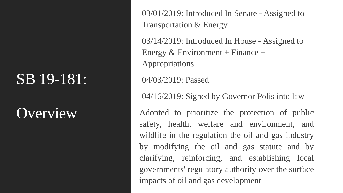## **Overview**

03/01/2019: Introduced In Senate - Assigned to Transportation & Energy

03/14/2019: Introduced In House - Assigned to Energy  $& Environment + Finance +$ Appropriations

04/03/2019: Passed

04/16/2019: Signed by Governor Polis into law

Adopted to prioritize the protection of public safety, health, welfare and environment, and wildlife in the regulation the oil and gas industry by modifying the oil and gas statute and by clarifying, reinforcing, and establishing local governments' regulatory authority over the surface impacts of oil and gas development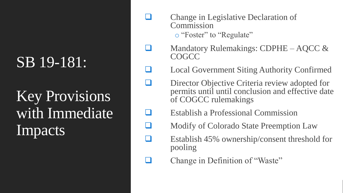Key Provisions with Immediate Impacts

- ❑ Change in Legislative Declaration of Commission o "Foster" to "Regulate"
- Mandatory Rulemakings: CDPHE AQCC & **COGCC**
- ❑ Local Government Siting Authority Confirmed
- Director Objective Criteria review adopted for permits until until conclusion and effective date of COGCC rulemakings
- ❑ Establish a Professional Commission
- ❑ Modify of Colorado State Preemption Law
- Establish 45% ownership/consent threshold for pooling
- Change in Definition of "Waste"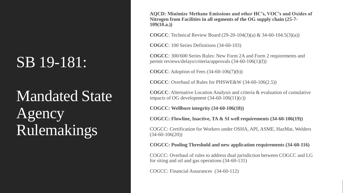# Mandated State Agency Rulemakings

**AQCD: Minimize Methane Emissions and other HC's, VOC's and Oxides of Nitrogen from Facilities in all segments of the OG supply chain (25-7- 109(10.a.))**

**COGCC**: Technical Review Board (29-20-104(3)(a) & 34-60-104.5(3)(a))

**COGCC**: 100 Series Definitions (34-60-103)

**COGCC**: 300/600 Series Rules: New Form 2A and Form 2 requirements and permit reviews/delays/criteria/approvals (34-60-106(1)(f))

**COGCC**: Adoption of Fees (34-60-106(7)(b))

**COGCC**: Overhaul of Rules for PHSWE&W (34-60-106(2.5))

**COGCC**: Alternative Location Analysis and criteria & evaluation of cumulative impacts of OG development  $(34-60-106(11)(c))$ 

**COGCC: Wellbore integrity (34-60-106(18))**

**COGCC: Flowline, Inactive, TA & SI well requirements (34-60-106(19))**

COGCC: Certification for Workers under OSHA, API, ASME, HazMat, Welders (34-60-106(20))

**COGCC: Pooling Threshold and new application requirements (34-60-116)**

COGCC: Overhaul of rules to address dual jurisdiction between COGCC and LG for siting and oil and gas operations (34-60-131)

COGCC: Financial Assurances (34-60-112)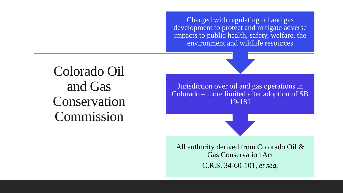Charged with regulating oil and gas development to protect and mitigate adverse impacts to public health, safety, welfare, the environment and wildlife resources

Colorado Oil and Gas Conservation Commission

Jurisdiction over oil and gas operations in Colorado – more limited after adoption of SB 19-181

All authority derived from Colorado Oil & Gas Conservation Act C.R.S. 34-60-101, *et seq.*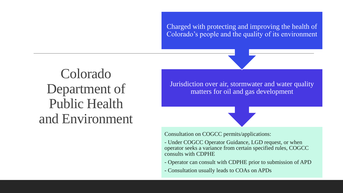Charged with protecting and improving the health of Colorado's people and the quality of its environment

Colorado Department of Public Health and Environment

Jurisdiction over air, stormwater and water quality matters for oil and gas development



Consultation on COGCC permits/applications:

- Under COGCC Operator Guidance, LGD request, or when operator seeks a variance from certain specified rules, COGCC consults with CDPHE
- Operator can consult with CDPHE prior to submission of APD
- Consultation usually leads to COAs on APDs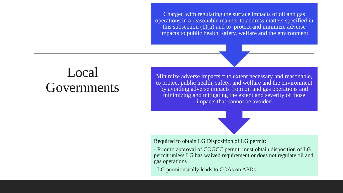Charged with regulating the surface impacts of oil and gas operations in a reasonable manner to address matters specified in this subsection (1)(h) and to protect and minimize adverse impacts to public health, safety, welfare and the environment

### Local Governments

Minimize adverse impacts = to extent necessary and reasonable, to protect public health, safety, and welfare and the environment by avoiding adverse impacts from oil and gas operations and minimizing and mitigating the extent and severity of those impacts that cannot be avoided



Required to obtain LG Disposition of LG permit:

- Prior to approval of COGCC permit, must obtain disposition of LG permit unless LG has waived requirement or does not regulate oil and gas operations
- LG permit usually leads to COAs on APDs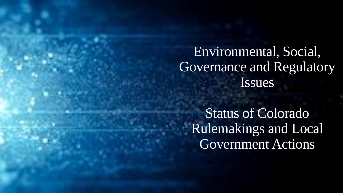### Environmental, Social, Governance and Regulatory Issues

Status of Colorado Rulemakings and Local Government Actions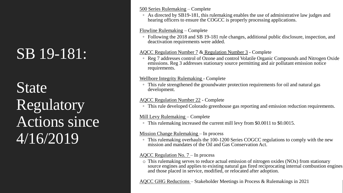State Regulatory Actions since 4/16/2019

#### [500 Series Rulemaking](https://cogcc.state.co.us/sb19181_calendar.html#/rulemaking_500_series) – Complete

◦ As directed by SB19-181, this rulemaking enables the use of administrative law judges and hearing officers to ensure the COGCC is properly processing applications.

#### [Flowline Rulemaking](https://cogcc.state.co.us/sb19181_calendar.html#/rulemaking_flowline) – Complete

◦ Following the 2018 and SB 19-181 rule changes, additional public disclosure, inspection, and deactivation requirements were added.

#### [AQCC Regulation Number 7](https://drive.google.com/file/d/16qTQLSTX1T49DYWp3voXRNl4_g-vbhQT/view) & [Regulation Number 3](https://drive.google.com/file/d/1_0oq-e_bYz_DT1y9h_rwn-O3gPQmQqa-/view) - Complete

◦ Reg 7 addresses control of Ozone and control Volatile Organic Compounds and Nitrogen Oxide emissions. Reg 3 addresses stationary source permitting and air pollutant emission notice requirements.

#### [Wellbore Integrity](https://drive.google.com/drive/folders/1fFoNgWK66FLc0b5yDvoGWhIwYl1HTo6y) Rulemaking - Complete

◦ This rule strengthened the groundwater protection requirements for oil and natural gas development.

#### [AQCC Regulation Number 22](https://drive.google.com/file/d/1Pmk0aYNazwXcBNr6vvnH2biutzhahWn8/view) - Complete

◦ This rule developed Colorado greenhouse gas reporting and emission reduction requirements.

#### Mill Levy Rulemaking – Complete

◦ This rulemaking increased the current mill levy from \$0.0011 to \$0.0015.

#### Mission Change Rulemaking – In process

◦ This rulemaking overhauls the 100-1200 Series COGCC regulations to comply with the new mission and mandates of the Oil and Gas Conservation Act.

#### AQCC Regulation No. 7 – In process

o This rulemaking serves to reduce actual emission of nitrogen oxides (NOx) from stationary source engines and applies to existing natural gas fired reciprocating internal combustion engines and those placed in service, modified, or relocated after adoption.

AQCC GHG Reductions – Stakeholder Meetings in Process & Rulemakings in 2021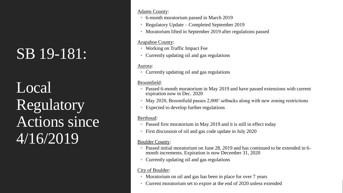Local Regulatory Actions since 4/16/2019

#### Adams County:

- 6-month moratorium passed in March 2019
- Regulatory Update Completed September 2019
- Moratorium lifted in September 2019 after regulations passed

#### Arapahoe County:

- Working on Traffic Impact Fee
- Currently updating oil and gas regulations

#### Aurora:

◦ Currently updating oil and gas regulations

#### Broomfield:

- Passed 6-month moratorium in May 2019 and have passed extensions with current expiration now in Dec. 2020
- May 2020, Broomfield passes 2,000' setbacks along with new zoning restrictions
- Expected to develop further regulations

#### Berthoud:

- Passed first moratorium in May 2019 and it is still in effect today
- First discussion of oil and gas code update in July 2020

#### Boulder County:

- Passed initial moratorium on June 28, 2019 and has continued to be extended in 6 month increments. Expiration is now December 31, 2020
- Currently updating oil and gas regulations

#### City of Boulder:

- Moratorium on oil and gas has been in place for over 7 years
- Current moratorium set to expire at the end of 2020 unless extended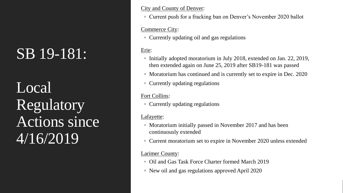Local Regulatory Actions since 4/16/2019

#### City and County of Denver:

◦ Current push for a fracking ban on Denver's November 2020 ballot

#### Commerce City:

◦ Currently updating oil and gas regulations

#### Erie:

- Initially adopted moratorium in July 2018, extended on Jan. 22, 2019, then extended again on June 25, 2019 after SB19-181 was passed
- Moratorium has continued and is currently set to expire in Dec. 2020
- Currently updating regulations

#### Fort Collins:

◦ Currently updating regulations

#### Lafayette:

- Moratorium initially passed in November 2017 and has been continuously extended
- Current moratorium set to expire in November 2020 unless extended

#### Larimer County:

- Oil and Gas Task Force Charter formed March 2019
- New oil and gas regulations approved April 2020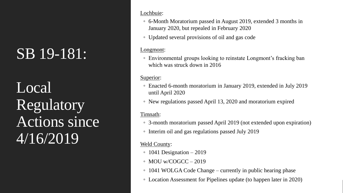Local Regulatory Actions since 4/16/2019

#### Lochbuie:

- 6-Month Moratorium passed in August 2019, extended 3 months in January 2020, but repealed in February 2020
- Updated several provisions of oil and gas code

#### Longmont:

◦ Environmental groups looking to reinstate Longmont's fracking ban which was struck down in 2016

#### Superior:

- Enacted 6-month moratorium in January 2019, extended in July 2019 until April 2020
- New regulations passed April 13, 2020 and moratorium expired

#### Timnath:

- 3-month moratorium passed April 2019 (not extended upon expiration)
- Interim oil and gas regulations passed July 2019

#### Weld County:

- 1041 Designation 2019
- $\circ$  MOU w/COGCC 2019
- 1041 WOLGA Code Change currently in public hearing phase
- Location Assessment for Pipelines update (to happen later in 2020)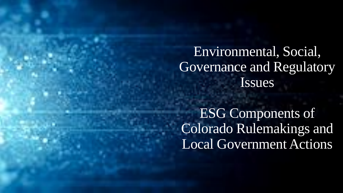### Environmental, Social, Governance and Regulatory Issues

ESG Components of Colorado Rulemakings and Local Government Actions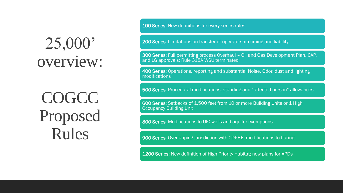# 25,000' overview:

**COGCC** Proposed Rules

100 Series: New definitions for every series rules

200 Series: Limitations on transfer of operatorship timing and liability

300 Series: Full permitting process Overhaul – Oil and Gas Development Plan, CAP, and LG approvals; Rule 318A WSU terminated

400 Series: Operations, reporting and substantial Noise, Odor, dust and lighting modifications

500 Series: Procedural modifications, standing and "affected person" allowances

600 Series: Setbacks of 1,500 feet from 10 or more Building Units or 1 High Occupancy Building Unit

800 Series: Modifications to UIC wells and aquifer exemptions

900 Series: Overlapping jurisdiction with CDPHE; modifications to flaring

1200 Series: New definition of High Priority Habitat; new plans for APDs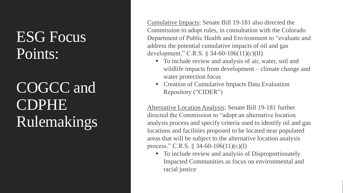## ESG Focus Points:

# COGCC and CDPHE Rulemakings

Cumulative Impacts: Senate Bill 19-181 also directed the Commission to adopt rules, in consultation with the Colorado Department of Public Health and Environment to "evaluate and address the potential cumulative impacts of oil and gas development." C.R.S. § 34-60-106(11)(c)(II)

- To include review and analysis of air, water, soil and wildlife impacts from development – climate change and water protection focus
- **Creation of Cumulative Impacts Data Evaluation** Repository ("CIDER")

Alternative Location Analysis: Senate Bill 19-181 further directed the Commission to "adopt an alternative location analysis process and specify criteria used to identify oil and gas locations and facilities proposed to be located near populated areas that will be subject to the alternative location analysis process." C.R.S. § 34-60-106(11)(c)(I)

■ To include review and analysis of Disproportionately Impacted Communities as focus on environmental and racial justice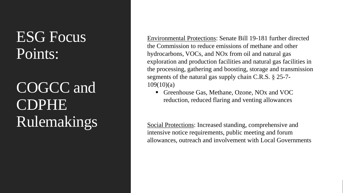## ESG Focus Points:

# COGCC and CDPHE Rulemakings

Environmental Protections: Senate Bill 19-181 further directed the Commission to reduce emissions of methane and other hydrocarbons, VOCs, and NOx from oil and natural gas exploration and production facilities and natural gas facilities in the processing, gathering and boosting, storage and transmission segments of the natural gas supply chain C.R.S. § 25-7-  $109(10)(a)$ 

■ Greenhouse Gas, Methane, Ozone, NO<sub>x</sub> and VOC reduction, reduced flaring and venting allowances

Social Protections: Increased standing, comprehensive and intensive notice requirements, public meeting and forum allowances, outreach and involvement with Local Governments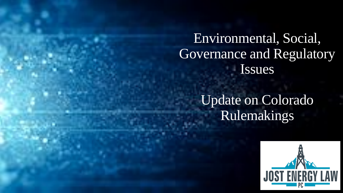Environmental, Social, Governance and Regulatory Issues

> Update on Colorado Rulemakings

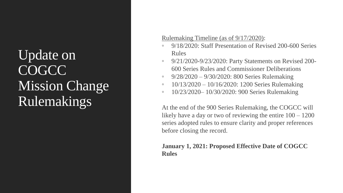### Update on COGCC Mission Change Rulemakings

#### Rulemaking Timeline (as of 9/17/2020):

- 9/18/2020: Staff Presentation of Revised 200-600 Series Rules
- 9/21/2020-9/23/2020: Party Statements on Revised 200- 600 Series Rules and Commissioner Deliberations
- 9/28/2020 9/30/2020: 800 Series Rulemaking
- $10/13/2020 10/16/2020$ : 1200 Series Rulemaking
- 10/23/2020– 10/30/2020: 900 Series Rulemaking

At the end of the 900 Series Rulemaking, the COGCC will likely have a day or two of reviewing the entire 100 – 1200 series adopted rules to ensure clarity and proper references before closing the record.

#### **January 1, 2021: Proposed Effective Date of COGCC Rules**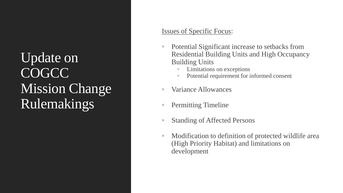### Update on COGCC **Mission Change** Rulemakings

#### Issues of Specific Focus:

- Potential Significant increase to setbacks from Residential Building Units and High Occupancy Building Units
	- Limitations on exceptions
	- Potential requirement for informed consent
- Variance Allowances
- Permitting Timeline
- Standing of Affected Persons
- Modification to definition of protected wildlife area (High Priority Habitat) and limitations on development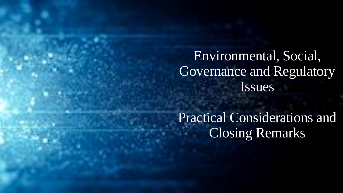### Environmental, Social, Governance and Regulatory Issues

Practical Considerations and Closing Remarks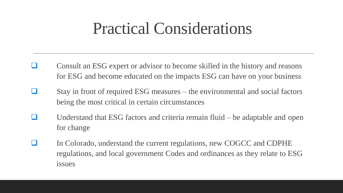## Practical Considerations

- ❑ Consult an ESG expert or advisor to become skilled in the history and reasons for ESG and become educated on the impacts ESG can have on your business
- Stay in front of required ESG measures the environmental and social factors being the most critical in certain circumstances
- ❑ Understand that ESG factors and criteria remain fluid be adaptable and open for change
- In Colorado, understand the current regulations, new COGCC and CDPHE regulations, and local government Codes and ordinances as they relate to ESG issues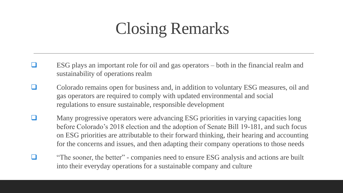# Closing Remarks

- ❑ ESG plays an important role for oil and gas operators both in the financial realm and sustainability of operations realm
- ❑ Colorado remains open for business and, in addition to voluntary ESG measures, oil and gas operators are required to comply with updated environmental and social regulations to ensure sustainable, responsible development
- Many progressive operators were advancing ESG priorities in varying capacities long before Colorado's 2018 election and the adoption of Senate Bill 19-181, and such focus on ESG priorities are attributable to their forward thinking, their hearing and accounting for the concerns and issues, and then adapting their company operations to those needs
	- "The sooner, the better" companies need to ensure ESG analysis and actions are built into their everyday operations for a sustainable company and culture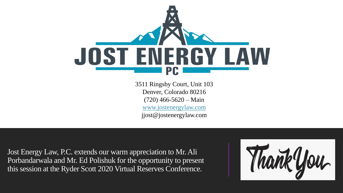

3511 Ringsby Court, Unit 103 Denver, Colorado 80216  $(720)$  466-5620 – Main [www.jostenergylaw.com](http://www.jostenergylaw.com/) jjost@jostenergylaw.com

Jost Energy Law, P.C. extends our warm appreciation to Mr. Ali Porbandarwala and Mr. Ed Polishuk for the opportunity to present this session at the Ryder Scott 2020 Virtual Reserves Conference.